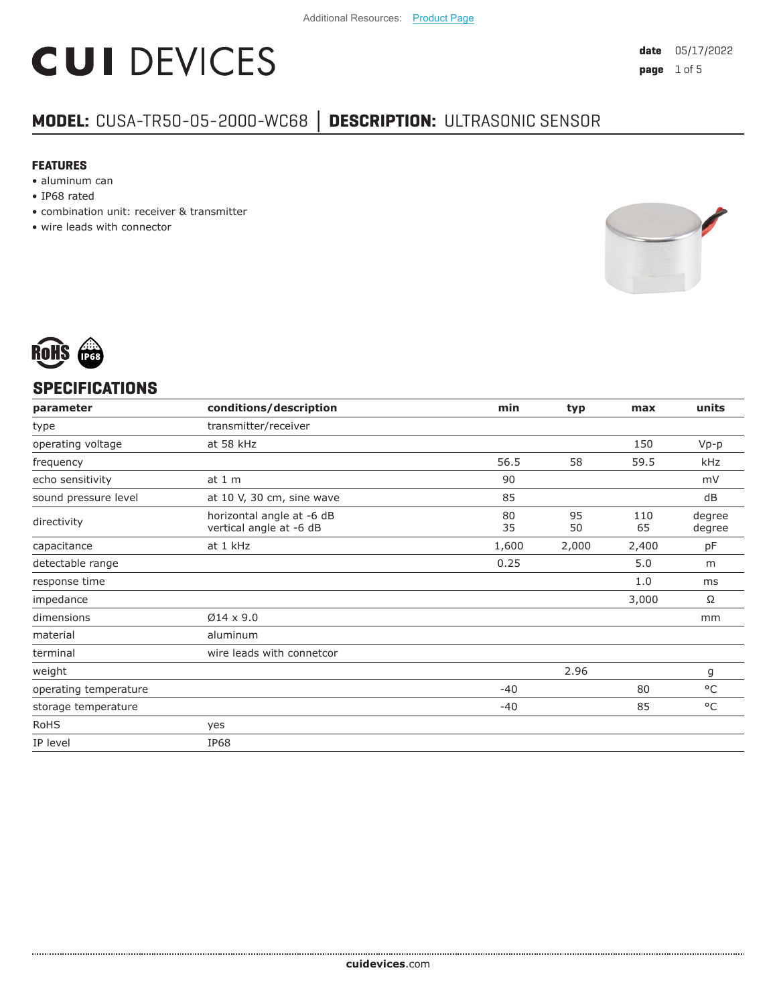# **CUI DEVICES**

### **MODEL:** CUSA-TR50-05-2000-WC68 **│ DESCRIPTION:** ULTRASONIC SENSOR

#### **FEATURES**

- aluminum can
- IP68 rated
- combination unit: receiver & transmitter
- wire leads with connector





#### **SPECIFICATIONS**

| parameter             | conditions/description                               | min      | typ      | max       | units            |
|-----------------------|------------------------------------------------------|----------|----------|-----------|------------------|
| type                  | transmitter/receiver                                 |          |          |           |                  |
| operating voltage     | at 58 kHz                                            |          |          | 150       | $Vp-p$           |
| frequency             |                                                      | 56.5     | 58       | 59.5      | kHz              |
| echo sensitivity      | at 1 m                                               | 90       |          |           | mV               |
| sound pressure level  | at 10 V, 30 cm, sine wave                            | 85       |          |           | dB               |
| directivity           | horizontal angle at -6 dB<br>vertical angle at -6 dB | 80<br>35 | 95<br>50 | 110<br>65 | degree<br>degree |
| capacitance           | at 1 kHz                                             | 1,600    | 2,000    | 2,400     | рF               |
| detectable range      |                                                      | 0.25     |          | 5.0       | m                |
| response time         |                                                      |          |          | 1.0       | ms               |
| impedance             |                                                      |          |          | 3,000     | Ω                |
| dimensions            | $\varnothing$ 14 x 9.0                               |          |          |           | mm               |
| material              | aluminum                                             |          |          |           |                  |
| terminal              | wire leads with connetcor                            |          |          |           |                  |
| weight                |                                                      |          | 2.96     |           | g                |
| operating temperature |                                                      | $-40$    |          | 80        | $^{\circ}$ C     |
| storage temperature   |                                                      | $-40$    |          | 85        | $^{\circ}$ C     |
| <b>RoHS</b>           | yes                                                  |          |          |           |                  |
| IP level              | <b>IP68</b>                                          |          |          |           |                  |
|                       |                                                      |          |          |           |                  |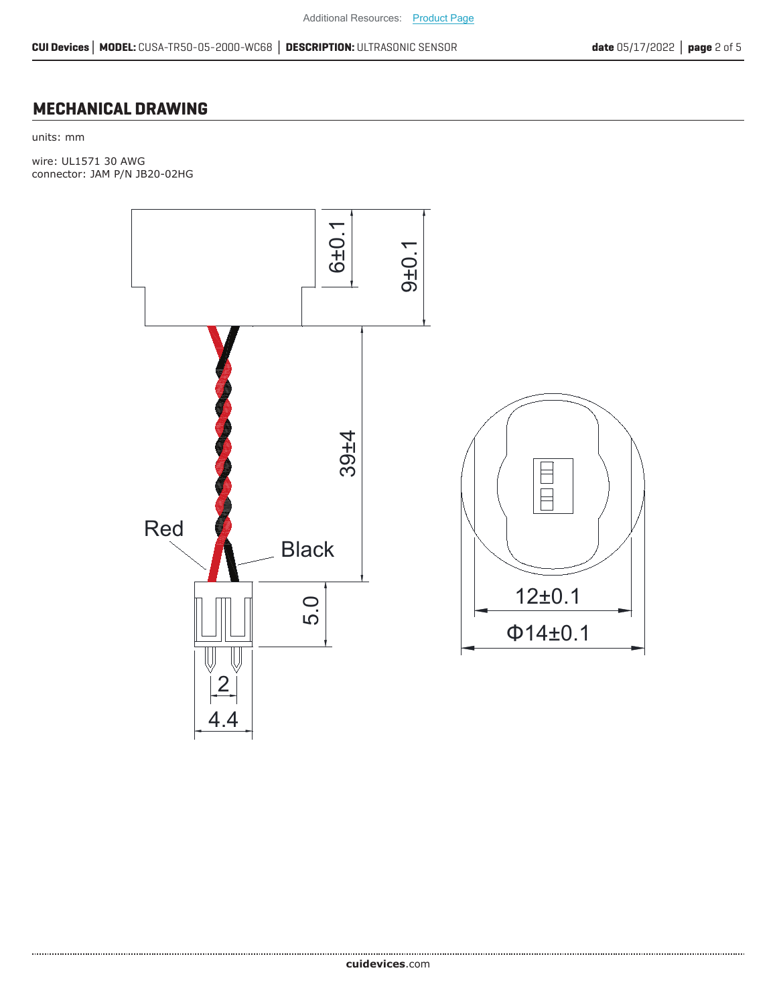#### **MECHANICAL DRAWING**

units: mm

wire: UL1571 30 AWG connector: JAM P/N JB20-02HG

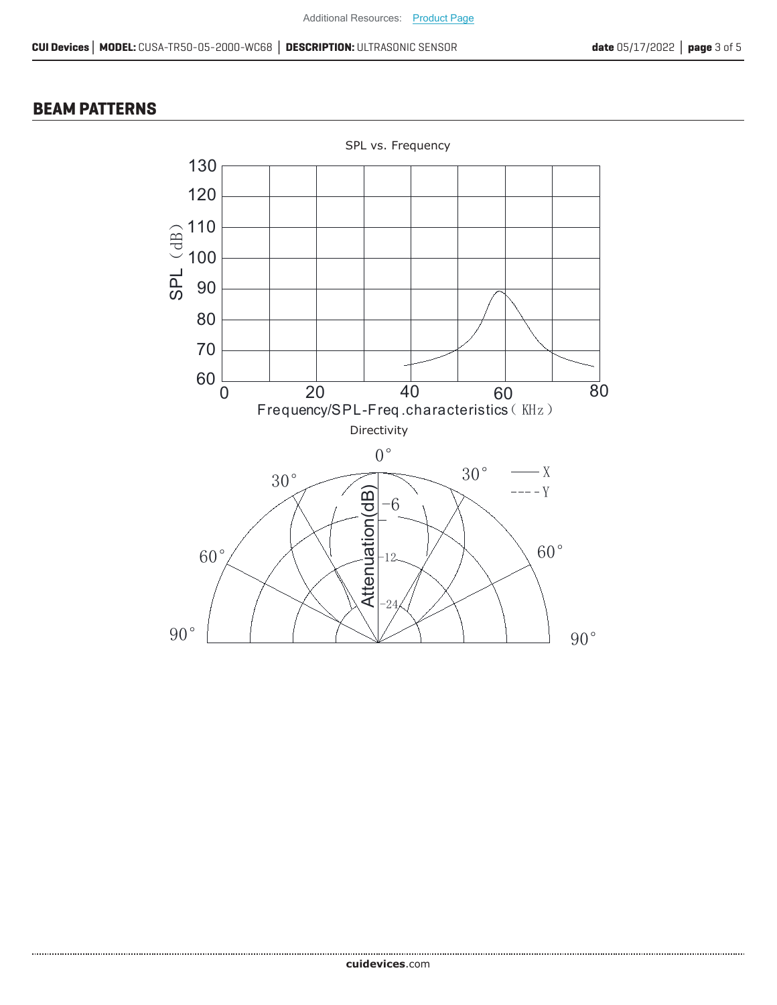#### **BEAM PATTERNS**

.......................

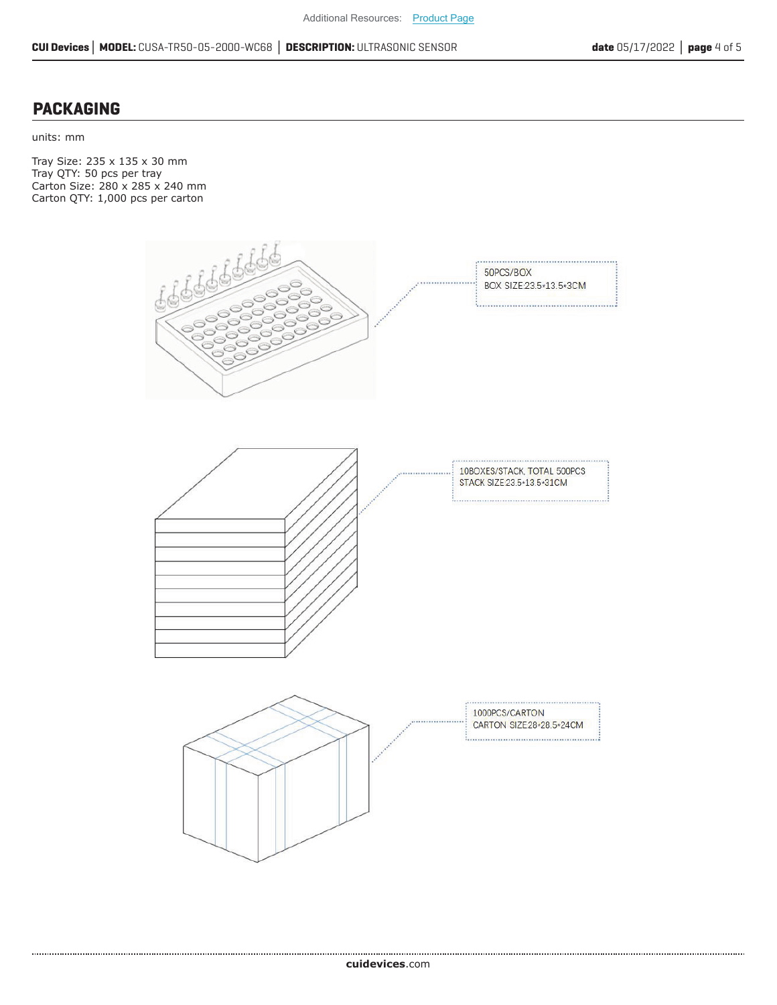#### **PACKAGING**

units: mm

Tray Size: 235 x 135 x 30 mm Tray QTY: 50 pcs per tray Carton Size: 280 x 285 x 240 mm Carton QTY: 1,000 pcs per carton